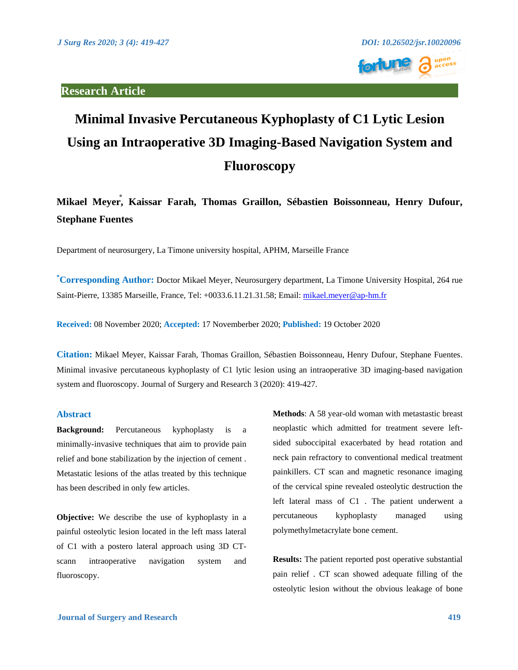

# **Minimal Invasive Percutaneous Kyphoplasty of C1 Lytic Lesion Using an Intraoperative 3D Imaging-Based Navigation System and Fluoroscopy**

## **Mikael Meyer⃰ , Kaissar Farah, Thomas Graillon, Sébastien Boissonneau, Henry Dufour, Stephane Fuentes**

Department of neurosurgery, La Timone university hospital, APHM, Marseille France

**\*Corresponding Author:** Doctor Mikael Meyer, Neurosurgery department, La Timone University Hospital, 264 rue Saint-Pierre, 13385 Marseille, France, Tel: +0033.6.11.21.31.58; Email: [mikael.meyer@ap-hm.fr](mailto:mikael.meyer@ap-hm.fr)

**Received:** 08 November 2020; **Accepted:** 17 Novemberber 2020; **Published:** 19 October 2020

**Citation:** Mikael Meyer, Kaissar Farah, Thomas Graillon, Sébastien Boissonneau, Henry Dufour, Stephane Fuentes. Minimal invasive percutaneous kyphoplasty of C1 lytic lesion using an intraoperative 3D imaging-based navigation system and fluoroscopy. Journal of Surgery and Research 3 (2020): 419-427.

#### **Abstract**

**Background:** Percutaneous kyphoplasty is a minimally-invasive techniques that aim to provide pain relief and bone stabilization by the injection of cement . Metastatic lesions of the atlas treated by this technique has been described in only few articles.

**Objective:** We describe the use of kyphoplasty in a painful osteolytic lesion located in the left mass lateral of C1 with a postero lateral approach using 3D CTscann intraoperative navigation system and fluoroscopy.

**Methods**: A 58 year-old woman with metastastic breast neoplastic which admitted for treatment severe leftsided suboccipital exacerbated by head rotation and neck pain refractory to conventional medical treatment painkillers. CT scan and magnetic resonance imaging of the cervical spine revealed osteolytic destruction the left lateral mass of C1 . The patient underwent a percutaneous kyphoplasty managed using polymethylmetacrylate bone cement.

**Results:** The patient reported post operative substantial pain relief . CT scan showed adequate filling of the osteolytic lesion without the obvious leakage of bone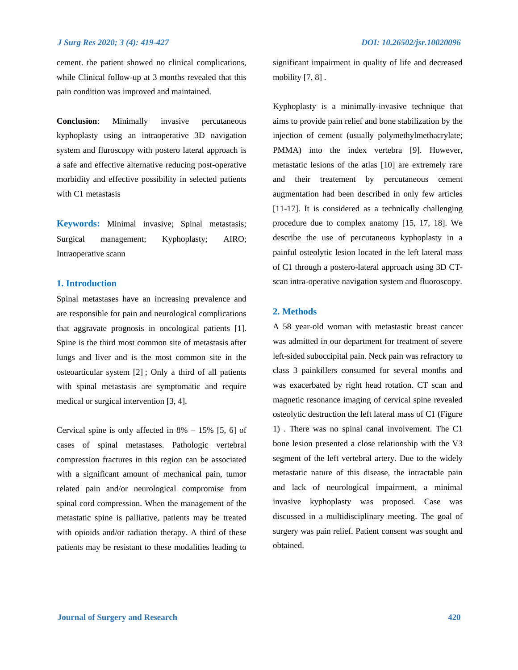cement. the patient showed no clinical complications, while Clinical follow-up at 3 months revealed that this pain condition was improved and maintained.

**Conclusion**: Minimally invasive percutaneous kyphoplasty using an intraoperative 3D navigation system and fluroscopy with postero lateral approach is a safe and effective alternative reducing post-operative morbidity and effective possibility in selected patients with C1 metastasis

**Keywords:** Minimal invasive; Spinal metastasis; Surgical management; Kyphoplasty; AIRO; Intraoperative scann

### **1. Introduction**

Spinal metastases have an increasing prevalence and are responsible for pain and neurological complications that aggravate prognosis in oncological patients [1]. Spine is the third most common site of metastasis after lungs and liver and is the most common site in the osteoarticular system [2] ; Only a third of all patients with spinal metastasis are symptomatic and require medical or surgical intervention [3, 4].

Cervical spine is only affected in  $8\% - 15\%$  [5, 6] of cases of spinal metastases. Pathologic vertebral compression fractures in this region can be associated with a significant amount of mechanical pain, tumor related pain and/or neurological compromise from spinal cord compression. When the management of the metastatic spine is palliative, patients may be treated with opioids and/or radiation therapy. A third of these patients may be resistant to these modalities leading to

significant impairment in quality of life and decreased mobility  $[7, 8]$ .

Kyphoplasty is a minimally-invasive technique that aims to provide pain relief and bone stabilization by the injection of cement (usually polymethylmethacrylate; PMMA) into the index vertebra [9]. However, metastatic lesions of the atlas [10] are extremely rare and their treatement by percutaneous cement augmentation had been described in only few articles [11-17]. It is considered as a technically challenging procedure due to complex anatomy [15, 17, 18]. We describe the use of percutaneous kyphoplasty in a painful osteolytic lesion located in the left lateral mass of C1 through a postero-lateral approach using 3D CTscan intra-operative navigation system and fluoroscopy.

#### **2. Methods**

A 58 year-old woman with metastastic breast cancer was admitted in our department for treatment of severe left-sided suboccipital pain. Neck pain was refractory to class 3 painkillers consumed for several months and was exacerbated by right head rotation. CT scan and magnetic resonance imaging of cervical spine revealed osteolytic destruction the left lateral mass of C1 (Figure 1) . There was no spinal canal involvement. The C1 bone lesion presented a close relationship with the V3 segment of the left vertebral artery. Due to the widely metastatic nature of this disease, the intractable pain and lack of neurological impairment, a minimal invasive kyphoplasty was proposed. Case was discussed in a multidisciplinary meeting. The goal of surgery was pain relief. Patient consent was sought and obtained.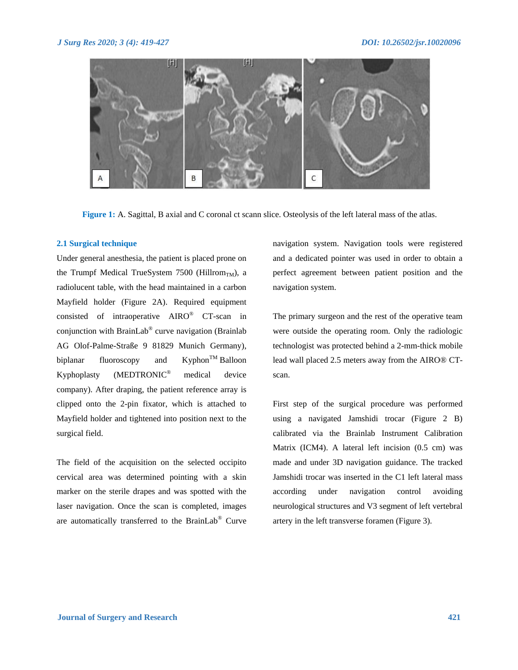

**Figure 1:** A. Sagittal, B axial and C coronal ct scann slice. Osteolysis of the left lateral mass of the atlas.

#### **2.1 Surgical technique**

Under general anesthesia, the patient is placed prone on the Trumpf Medical TrueSystem 7500 (Hillrom<sub>TM</sub>), a radiolucent table, with the head maintained in a carbon Mayfield holder (Figure 2A). Required equipment consisted of intraoperative AIRO® CT-scan in conjunction with BrainLab® curve navigation (Brainlab AG Olof-Palme-Straße 9 81829 Munich Germany), biplanar fluoroscopy and Kyphon<sup>TM</sup> Balloon Kyphoplasty (MEDTRONIC® medical device company). After draping, the patient reference array is clipped onto the 2-pin fixator, which is attached to Mayfield holder and tightened into position next to the surgical field.

The field of the acquisition on the selected occipito cervical area was determined pointing with a skin marker on the sterile drapes and was spotted with the laser navigation. Once the scan is completed, images are automatically transferred to the BrainLab® Curve

navigation system. Navigation tools were registered and a dedicated pointer was used in order to obtain a perfect agreement between patient position and the navigation system.

The primary surgeon and the rest of the operative team were outside the operating room. Only the radiologic technologist was protected behind a 2-mm-thick mobile lead wall placed 2.5 meters away from the AIRO® CTscan.

First step of the surgical procedure was performed using a navigated Jamshidi trocar (Figure 2 B) calibrated via the Brainlab Instrument Calibration Matrix (ICM4). A lateral left incision (0.5 cm) was made and under 3D navigation guidance. The tracked Jamshidi trocar was inserted in the C1 left lateral mass according under navigation control avoiding neurological structures and V3 segment of left vertebral artery in the left transverse foramen (Figure 3).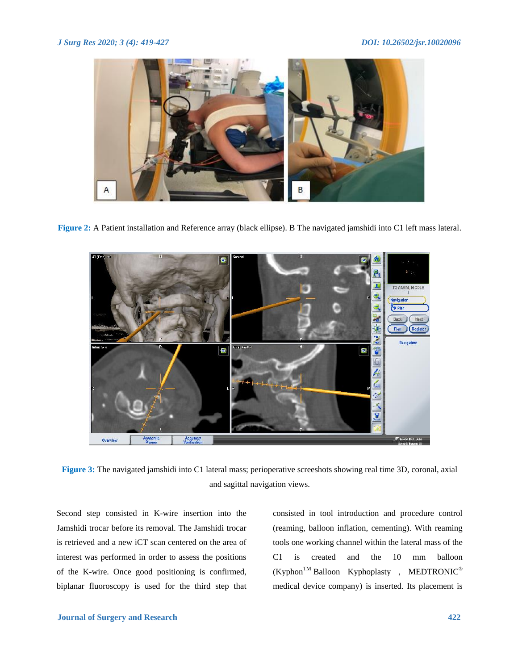

**Figure 2:** A Patient installation and Reference array (black ellipse). B The navigated jamshidi into C1 left mass lateral.



**Figure 3:** The navigated jamshidi into C1 lateral mass; perioperative screeshots showing real time 3D, coronal, axial and sagittal navigation views.

Second step consisted in K-wire insertion into the Jamshidi trocar before its removal. The Jamshidi trocar is retrieved and a new iCT scan centered on the area of interest was performed in order to assess the positions of the K-wire. Once good positioning is confirmed, biplanar fluoroscopy is used for the third step that consisted in tool introduction and procedure control (reaming, balloon inflation, cementing). With reaming tools one working channel within the lateral mass of the C1 is created and the 10 mm balloon (KyphonTM Balloon Kyphoplasty , MEDTRONIC® medical device company) is inserted. Its placement is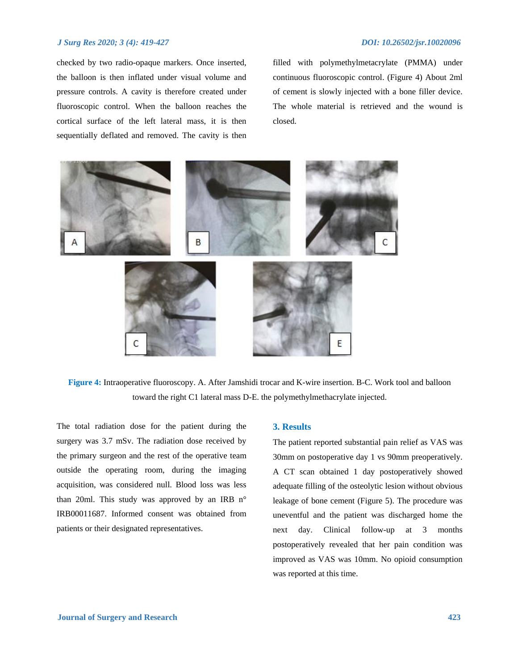checked by two radio-opaque markers. Once inserted, the balloon is then inflated under visual volume and pressure controls. A cavity is therefore created under fluoroscopic control. When the balloon reaches the cortical surface of the left lateral mass, it is then sequentially deflated and removed. The cavity is then

filled with polymethylmetacrylate (PMMA) under continuous fluoroscopic control. (Figure 4) About 2ml of cement is slowly injected with a bone filler device. The whole material is retrieved and the wound is closed.



**Figure 4:** Intraoperative fluoroscopy. A. After Jamshidi trocar and K-wire insertion. B-C. Work tool and balloon toward the right C1 lateral mass D-E. the polymethylmethacrylate injected.

The total radiation dose for the patient during the surgery was 3.7 mSv. The radiation dose received by the primary surgeon and the rest of the operative team outside the operating room, during the imaging acquisition, was considered null. Blood loss was less than 20ml. This study was approved by an IRB  $n^{\circ}$ IRB00011687. Informed consent was obtained from patients or their designated representatives.

#### **3. Results**

The patient reported substantial pain relief as VAS was 30mm on postoperative day 1 vs 90mm preoperatively. A CT scan obtained 1 day postoperatively showed adequate filling of the osteolytic lesion without obvious leakage of bone cement (Figure 5). The procedure was uneventful and the patient was discharged home the next day. Clinical follow-up at 3 months postoperatively revealed that her pain condition was improved as VAS was 10mm. No opioid consumption was reported at this time.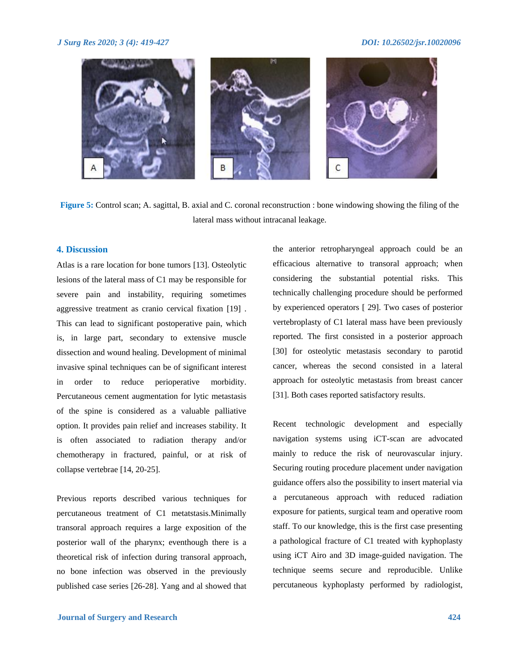

**Figure 5:** Control scan; A. sagittal, B. axial and C. coronal reconstruction : bone windowing showing the filing of the lateral mass without intracanal leakage.

#### **4. Discussion**

Atlas is a rare location for bone tumors [13]. Osteolytic lesions of the lateral mass of C1 may be responsible for severe pain and instability, requiring sometimes aggressive treatment as cranio cervical fixation [19] . This can lead to significant postoperative pain, which is, in large part, secondary to extensive muscle dissection and wound healing. Development of minimal invasive spinal techniques can be of significant interest in order to reduce perioperative morbidity. Percutaneous cement augmentation for lytic metastasis of the spine is considered as a valuable palliative option. It provides pain relief and increases stability. It is often associated to radiation therapy and/or chemotherapy in fractured, painful, or at risk of collapse vertebrae [14, 20-25].

Previous reports described various techniques for percutaneous treatment of C1 metatstasis.Minimally transoral approach requires a large exposition of the posterior wall of the pharynx; eventhough there is a theoretical risk of infection during transoral approach, no bone infection was observed in the previously published case series [26-28]. Yang and al showed that the anterior retropharyngeal approach could be an efficacious alternative to transoral approach; when considering the substantial potential risks. This technically challenging procedure should be performed by experienced operators [ 29]. Two cases of posterior vertebroplasty of C1 lateral mass have been previously reported. The first consisted in a posterior approach [30] for osteolytic metastasis secondary to parotid cancer, whereas the second consisted in a lateral approach for osteolytic metastasis from breast cancer [31]. Both cases reported satisfactory results.

Recent technologic development and especially navigation systems using iCT-scan are advocated mainly to reduce the risk of neurovascular injury. Securing routing procedure placement under navigation guidance offers also the possibility to insert material via a percutaneous approach with reduced radiation exposure for patients, surgical team and operative room staff. To our knowledge, this is the first case presenting a pathological fracture of C1 treated with kyphoplasty using iCT Airo and 3D image-guided navigation. The technique seems secure and reproducible. Unlike percutaneous kyphoplasty performed by radiologist,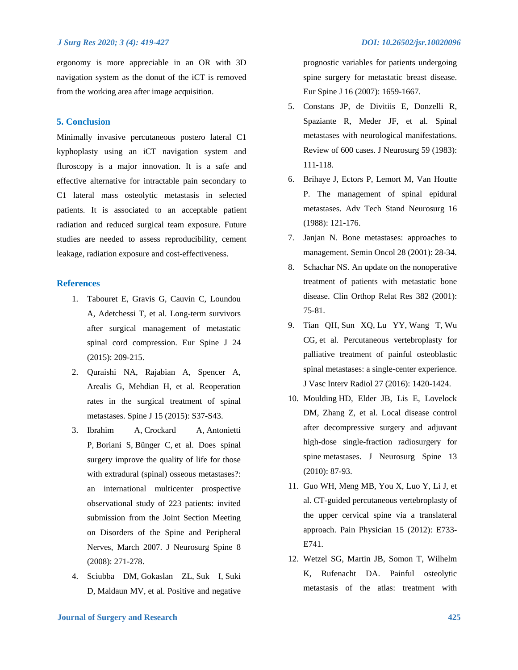ergonomy is more appreciable in an OR with 3D navigation system as the donut of the iCT is removed from the working area after image acquisition.

#### **5. Conclusion**

Minimally invasive percutaneous postero lateral C1 kyphoplasty using an iCT navigation system and fluroscopy is a major innovation. It is a safe and effective alternative for intractable pain secondary to C1 lateral mass osteolytic metastasis in selected patients. It is associated to an acceptable patient radiation and reduced surgical team exposure. Future studies are needed to assess reproducibility, cement leakage, radiation exposure and cost-effectiveness.

### **References**

- 1. Tabouret E, Gravis G, Cauvin C, Loundou A, Adetchessi T, et al. Long-term survivors after surgical management of metastatic spinal cord compression. Eur Spine J 24 (2015): 209-215.
- 2. Quraishi NA, Rajabian A, Spencer A, Arealis G, Mehdian H, et al. Reoperation rates in the surgical treatment of spinal metastases. Spine J 15 (2015): S37-S43.
- 3. Ibrahim A, Crockard A, Antonietti P, Boriani S, Bünger C, et al. Does spinal surgery improve the quality of life for those with extradural (spinal) osseous metastases?: an international multicenter prospective observational study of 223 patients: invited submission from the Joint Section Meeting on Disorders of the Spine and Peripheral Nerves, March 2007. J Neurosurg Spine 8 (2008): 271-278.
- 4. Sciubba DM, Gokaslan ZL, Suk I, Suki D, Maldaun MV, et al. Positive and negative

prognostic variables for patients undergoing spine surgery for metastatic breast disease. Eur Spine J 16 (2007): 1659-1667.

- 5. Constans JP, de Divitiis E, Donzelli R, Spaziante R, Meder JF, et al. Spinal metastases with neurological manifestations. Review of 600 cases. J Neurosurg 59 (1983): 111-118.
- 6. Brihaye J, Ectors P, Lemort M, Van Houtte P. The management of spinal epidural metastases. Adv Tech Stand Neurosurg 16 (1988): 121-176.
- 7. Janjan N. Bone metastases: approaches to management. Semin Oncol 28 (2001): 28-34.
- 8. Schachar NS. An update on the nonoperative treatment of patients with metastatic bone disease. Clin Orthop Relat Res 382 (2001): 75-81.
- 9. Tian QH, Sun XQ, Lu YY, Wang T, Wu CG, et al. Percutaneous vertebroplasty for palliative treatment of painful osteoblastic spinal metastases: a single-center experience. J Vasc Interv Radiol 27 (2016): 1420-1424.
- 10. Moulding HD, Elder JB, Lis E, Lovelock DM, Zhang Z, et al. Local disease control after decompressive surgery and adjuvant high-dose single-fraction radiosurgery for spine metastases. J Neurosurg Spine 13 (2010): 87-93.
- 11. Guo WH, Meng MB, You X, Luo Y, Li J, et al. CT-guided percutaneous vertebroplasty of the upper cervical spine via a translateral approach. Pain Physician 15 (2012): E733- E741.
- 12. Wetzel SG, Martin JB, Somon T, Wilhelm K, Rufenacht DA. Painful osteolytic metastasis of the atlas: treatment with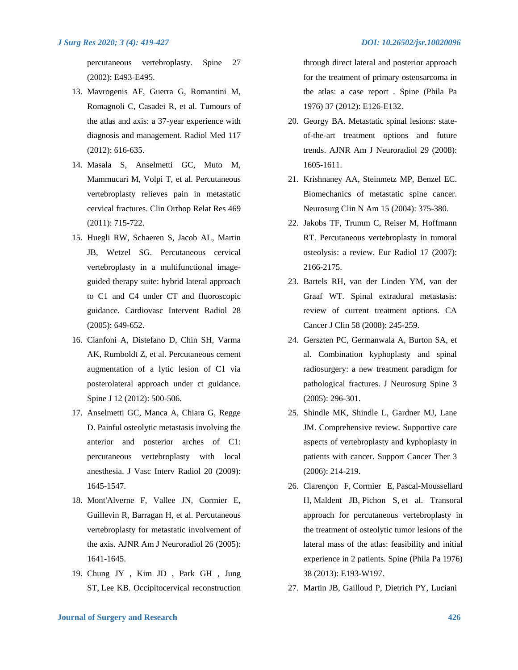percutaneous vertebroplasty. Spine 27 (2002): E493-E495.

- 13. Mavrogenis AF, Guerra G, Romantini M, Romagnoli C, Casadei R, et al. Tumours of the atlas and axis: a 37-year experience with diagnosis and management. Radiol Med 117 (2012): 616-635.
- 14. Masala S, Anselmetti GC, Muto M, Mammucari M, Volpi T, et al. Percutaneous vertebroplasty relieves pain in metastatic cervical fractures. Clin Orthop Relat Res 469 (2011): 715-722.
- 15. Huegli RW, Schaeren S, Jacob AL, Martin JB, Wetzel SG. Percutaneous cervical vertebroplasty in a multifunctional imageguided therapy suite: hybrid lateral approach to C1 and C4 under CT and fluoroscopic guidance. Cardiovasc Intervent Radiol 28 (2005): 649-652.
- 16. Cianfoni A, Distefano D, Chin SH, Varma AK, Rumboldt Z, et al. Percutaneous cement augmentation of a lytic lesion of C1 via posterolateral approach under ct guidance. Spine J 12 (2012): 500-506.
- 17. Anselmetti GC, Manca A, Chiara G, Regge D. Painful osteolytic metastasis involving the anterior and posterior arches of C1: percutaneous vertebroplasty with local anesthesia. J Vasc Interv Radiol 20 (2009): 1645-1547.
- 18. Mont'Alverne F, Vallee JN, Cormier E, Guillevin R, Barragan H, et al. Percutaneous vertebroplasty for metastatic involvement of the axis. AJNR Am J Neuroradiol 26 (2005): 1641-1645.
- 19. Chung JY , Kim JD , Park GH , Jung ST, Lee KB. Occipitocervical reconstruction

through direct lateral and posterior approach for the treatment of primary osteosarcoma in the atlas: a case report . Spine (Phila Pa 1976) 37 (2012): E126-E132.

- 20. Georgy BA. Metastatic spinal lesions: stateof-the-art treatment options and future trends. AJNR Am J Neuroradiol 29 (2008): 1605-1611.
- 21. Krishnaney AA, Steinmetz MP, Benzel EC. Biomechanics of metastatic spine cancer. Neurosurg Clin N Am 15 (2004): 375-380.
- 22. Jakobs TF, Trumm C, Reiser M, Hoffmann RT. Percutaneous vertebroplasty in tumoral osteolysis: a review. Eur Radiol 17 (2007): 2166-2175.
- 23. Bartels RH, van der Linden YM, van der Graaf WT. Spinal extradural metastasis: review of current treatment options. CA Cancer J Clin 58 (2008): 245-259.
- 24. Gerszten PC, Germanwala A, Burton SA, et al. Combination kyphoplasty and spinal radiosurgery: a new treatment paradigm for pathological fractures. J Neurosurg Spine 3 (2005): 296-301.
- 25. Shindle MK, Shindle L, Gardner MJ, Lane JM. Comprehensive review. Supportive care aspects of vertebroplasty and kyphoplasty in patients with cancer. Support Cancer Ther 3 (2006): 214-219.
- 26. Clarençon F, Cormier E, Pascal-Moussellard H, Maldent JB, [Pichon S,](https://www.ncbi.nlm.nih.gov/pubmed/?term=Pichon%20S%5BAuthor%5D&cauthor=true&cauthor_uid=23165216) et al. Transoral approach for percutaneous vertebroplasty in the treatment of osteolytic tumor lesions of the lateral mass of the atlas: feasibility and initial experience in 2 patients. Spine (Phila Pa 1976) 38 (2013): E193-W197.
- 27. Martin JB, Gailloud P, Dietrich PY, Luciani